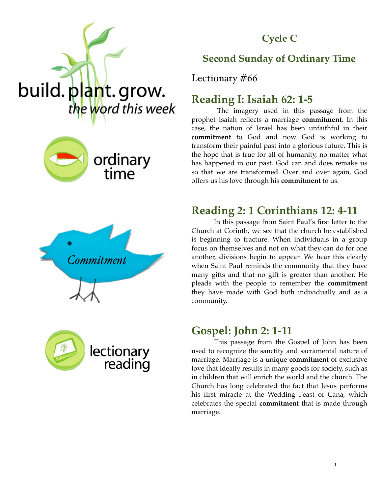# **Cycle C**









## **Second Sunday of Ordinary Time**

Lectionary #66

# **Reading I: Isaiah 62: 1-5**

 The imagery used in this passage from the prophet Isaiah reflects a marriage **commitment**. In this case, the nation of Israel has been unfaithful in their **commitment** to God and now God is working to transform their painful past into a glorious future. This is the hope that is true for all of humanity, no matter what has happened in our past. God can and does remake us so that we are transformed. Over and over again, God offers us his love through his **commitment** to us.

# **Reading 2: 1 Corinthians 12: 4-11**

In this passage from Saint Paul's first letter to the Church at Corinth, we see that the church he established is beginning to fracture. When individuals in a group focus on themselves and not on what they can do for one another, divisions begin to appear. We hear this clearly when Saint Paul reminds the community that they have many gifts and that no gift is greater than another. He pleads with the people to remember the **commitment** they have made with God both individually and as a community.

### **Gospel: John 2: 1-11**

This passage from the Gospel of John has been used to recognize the sanctity and sacramental nature of marriage. Marriage is a unique **commitment** of exclusive love that ideally results in many goods for society, such as in children that will enrich the world and the church. The Church has long celebrated the fact that Jesus performs his first miracle at the Wedding Feast of Cana, which celebrates the special **commitment** that is made through marriage.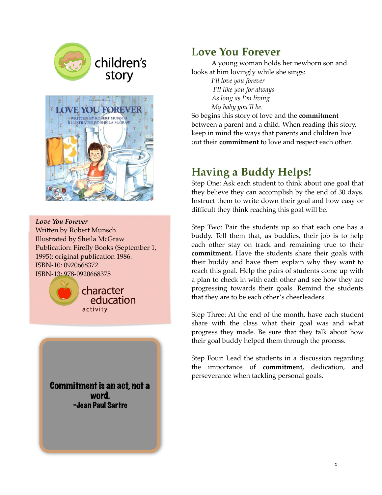



*Love You Forever* Written by Robert Munsch Illustrated by Sheila McGraw Publication: Firefly Books (September 1, 1995); original publication 1986. ISBN-10: 0920668372 ISBN-13: 978-0920668375



Commitment is an act, not a word. -Jean Paul Sartre

### **Love You Forever**

A young woman holds her newborn son and looks at him lovingly while she sings:

> *I'll love you forever I'll like you for always As long as I'm living My baby you'll be.*

So begins this story of love and the **commitment**  between a parent and a child. When reading this story, keep in mind the ways that parents and children live out their **commitment** to love and respect each other.

# **Having a Buddy Helps!**

Step One: Ask each student to think about one goal that they believe they can accomplish by the end of 30 days. Instruct them to write down their goal and how easy or difficult they think reaching this goal will be.

Step Two: Pair the students up so that each one has a buddy. Tell them that, as buddies, their job is to help each other stay on track and remaining true to their **commitment.** Have the students share their goals with their buddy and have them explain why they want to reach this goal. Help the pairs of students come up with a plan to check in with each other and see how they are progressing towards their goals. Remind the students that they are to be each other's cheerleaders.

Step Three: At the end of the month, have each student share with the class what their goal was and what progress they made. Be sure that they talk about how their goal buddy helped them through the process.

Step Four: Lead the students in a discussion regarding the importance of **commitment,** dedication, and perseverance when tackling personal goals.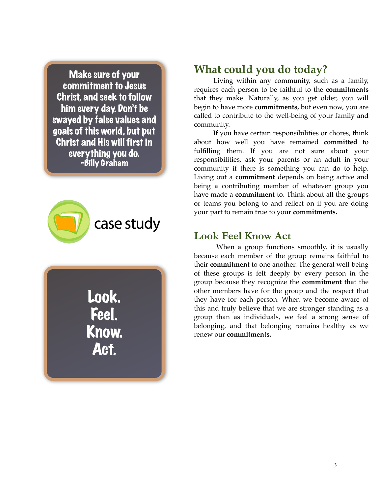Make sure of your commitment to Jesus Christ, and seek to follow him every day. Don't be swayed by false values and goals of this world, but put Christ and His will first in everything you do. -Billy Graham



Look. Feel. Know. Act.

### **What could you do today?**

Living within any community, such as a family, requires each person to be faithful to the **commitments**  that they make. Naturally, as you get older, you will begin to have more **commitments,** but even now, you are called to contribute to the well-being of your family and community.

If you have certain responsibilities or chores, think about how well you have remained **committed** to fulfilling them. If you are not sure about your responsibilities, ask your parents or an adult in your community if there is something you can do to help. Living out a **commitment** depends on being active and being a contributing member of whatever group you have made a **commitment** to. Think about all the groups or teams you belong to and reflect on if you are doing your part to remain true to your **commitments.** 

#### **Look Feel Know Act**

When a group functions smoothly, it is usually because each member of the group remains faithful to their **commitment** to one another. The general well-being of these groups is felt deeply by every person in the group because they recognize the **commitment** that the other members have for the group and the respect that they have for each person. When we become aware of this and truly believe that we are stronger standing as a group than as individuals, we feel a strong sense of belonging, and that belonging remains healthy as we renew our **commitments.**